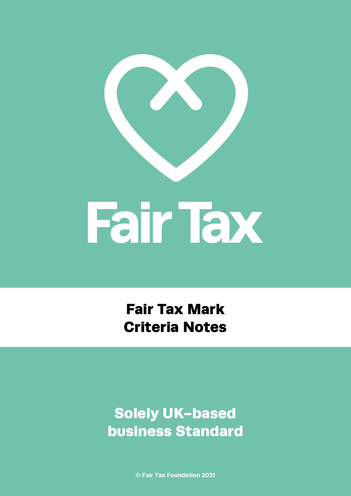

Fair Tax Mark Criteria Notes

Solely UK-based business Standard

**© Fair Tax Foundation 2021**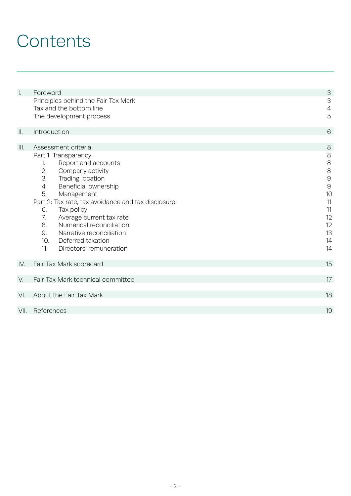## **Contents**

| $\mathsf{L}% _{0}\left( \mathsf{L}_{0}\right) ^{\ast }=\mathsf{L}_{0}\left( \mathsf{L}_{0}\right) ^{\ast }$ | Foreword                                           | 3                         |
|-------------------------------------------------------------------------------------------------------------|----------------------------------------------------|---------------------------|
|                                                                                                             | Principles behind the Fair Tax Mark                | $\ensuremath{\mathsf{3}}$ |
|                                                                                                             | Tax and the bottom line                            | $\overline{A}$            |
|                                                                                                             | The development process                            | 5                         |
|                                                                                                             |                                                    |                           |
| $\prod$                                                                                                     | Introduction                                       | 6                         |
|                                                                                                             |                                                    |                           |
| III.                                                                                                        | Assessment criteria                                | $8\,$                     |
|                                                                                                             | Part 1: Transparency                               | $\,8\,$                   |
|                                                                                                             | Report and accounts<br>1.                          | $\,8\,$                   |
|                                                                                                             | 2.<br>Company activity                             | $\,8\,$                   |
|                                                                                                             | 3.<br>Trading location                             | $\Theta$                  |
|                                                                                                             | Beneficial ownership<br>4.                         | $\Theta$                  |
|                                                                                                             | 5.<br>Management                                   | 10                        |
|                                                                                                             | Part 2: Tax rate, tax avoidance and tax disclosure | 11                        |
|                                                                                                             | 6.<br>Tax policy                                   | 11                        |
|                                                                                                             | 7.<br>Average current tax rate                     | 12                        |
|                                                                                                             | 8.<br>Numerical reconciliation                     | 12                        |
|                                                                                                             | 9.<br>Narrative reconciliation                     | 13                        |
|                                                                                                             | 10.<br>Deferred taxation                           | 14                        |
|                                                                                                             | 11.<br>Directors' remuneration                     | 14                        |
|                                                                                                             |                                                    |                           |
| IV.                                                                                                         | Fair Tax Mark scorecard                            | 15                        |
|                                                                                                             |                                                    |                           |
| V.                                                                                                          | Fair Tax Mark technical committee                  | 17                        |
|                                                                                                             |                                                    |                           |
| VI.                                                                                                         | About the Fair Tax Mark                            | 18                        |
|                                                                                                             |                                                    |                           |
| VII.                                                                                                        | References                                         | 19                        |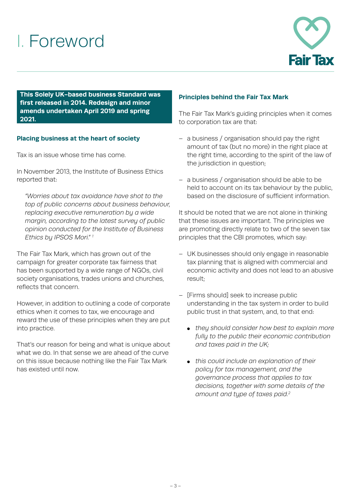## I. Foreword



**This Solely UK-based business Standard was first released in 2014. Redesign and minor amends undertaken April 2019 and spring 2021.**

## **Placing business at the heart of society**

Tax is an issue whose time has come.

In November 2013, the Institute of Business Ethics reported that:

*"Worries about tax avoidance have shot to the top of public concerns about business behaviour, replacing executive remuneration by a wide margin, according to the latest survey of public opinion conducted for the Institute of Business Ethics by IPSOS Mori." 1*

The Fair Tax Mark, which has grown out of the campaign for greater corporate tax fairness that has been supported by a wide range of NGOs, civil society organisations, trades unions and churches, reflects that concern.

However, in addition to outlining a code of corporate ethics when it comes to tax, we encourage and reward the use of these principles when they are put into practice.

That's our reason for being and what is unique about what we do. In that sense we are ahead of the curve on this issue because nothing like the Fair Tax Mark has existed until now.

### **Principles behind the Fair Tax Mark**

The Fair Tax Mark's guiding principles when it comes to corporation tax are that:

- a business / organisation should pay the right amount of tax (but no more) in the right place at the right time, according to the spirit of the law of the jurisdiction in question;
- a business / organisation should be able to be held to account on its tax behaviour by the public, based on the disclosure of sufficient information.

It should be noted that we are not alone in thinking that these issues are important. The principles we are promoting directly relate to two of the seven tax principles that the CBI promotes, which say:

- UK businesses should only engage in reasonable tax planning that is aligned with commercial and economic activity and does not lead to an abusive result;
- [Firms should] seek to increase public understanding in the tax system in order to build public trust in that system, and, to that end:
	- *they should consider how best to explain more fully to the public their economic contribution and taxes paid in the UK;*
	- *this could include an explanation of their policy for tax management, and the governance process that applies to tax decisions, together with some details of the amount and type of taxes paid.2*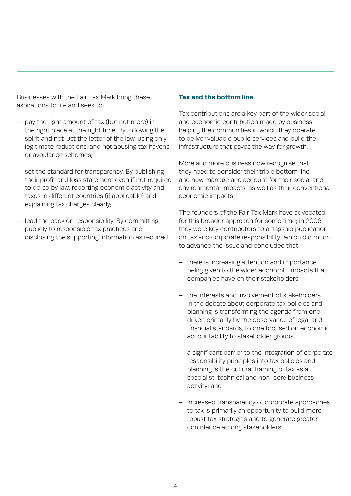Businesses with the Fair Tax Mark bring these aspirations to life and seek to:

- pay the right amount of tax (but not more) in the right place at the right time. By following the spirit and not just the letter of the law, using only legitimate reductions, and not abusing tax havens or avoidance schemes;
- set the standard for transparency. By publishing their profit and loss statement even if not required to do so by law, reporting economic activity and taxes in different countries (if applicable) and explaining tax charges clearly;
- lead the pack on responsibility. By committing publicly to responsible tax practices and disclosing the supporting information as required.

### **Tax and the bottom line**

Tax contributions are a key part of the wider social and economic contribution made by business, helping the communities in which they operate to deliver valuable public services and build the infrastructure that paves the way for growth.

More and more business now recognise that they need to consider their triple bottom line, and now manage and account for their social and environmental impacts, as well as their conventional economic impacts.

The founders of the Fair Tax Mark have advocated for this broader approach for some time; in 2006, they were key contributors to a flagship publication on tax and corporate responsibility<sup>3</sup> which did much to advance the issue and concluded that:

- there is increasing attention and importance being given to the wider economic impacts that companies have on their stakeholders;
- the interests and involvement of stakeholders in the debate about corporate tax policies and planning is transforming the agenda from one driven primarily by the observance of legal and financial standards, to one focused on economic accountability to stakeholder groups;
- a significant barrier to the integration of corporate responsibility principles into tax policies and planning is the cultural framing of tax as a specialist, technical and non-core business activity; and
- increased transparency of corporate approaches to tax is primarily an opportunity to build more robust tax strategies and to generate greater confidence among stakeholders.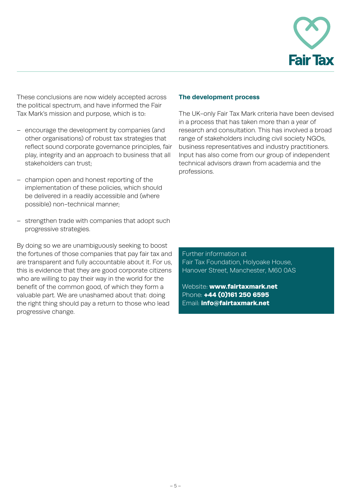

These conclusions are now widely accepted across the political spectrum, and have informed the Fair Tax Mark's mission and purpose, which is to:

- encourage the development by companies (and other organisations) of robust tax strategies that reflect sound corporate governance principles, fair play, integrity and an approach to business that all stakeholders can trust;
- champion open and honest reporting of the implementation of these policies, which should be delivered in a readily accessible and (where possible) non-technical manner;
- strengthen trade with companies that adopt such progressive strategies.

By doing so we are unambiguously seeking to boost the fortunes of those companies that pay fair tax and are transparent and fully accountable about it. For us, this is evidence that they are good corporate citizens who are willing to pay their way in the world for the benefit of the common good, of which they form a valuable part. We are unashamed about that: doing the right thing should pay a return to those who lead progressive change.

#### **The development process**

The UK-only Fair Tax Mark criteria have been devised in a process that has taken more than a year of research and consultation. This has involved a broad range of stakeholders including civil society NGOs, business representatives and industry practitioners. Input has also come from our group of independent technical advisors drawn from academia and the professions.

Further information at Fair Tax Foundation, Holyoake House, Hanover Street, Manchester, M60 0AS

Website: www.fairtaxmark.net Phone: +44 (0)161 250 6595 Email: info@fairtaxmark.net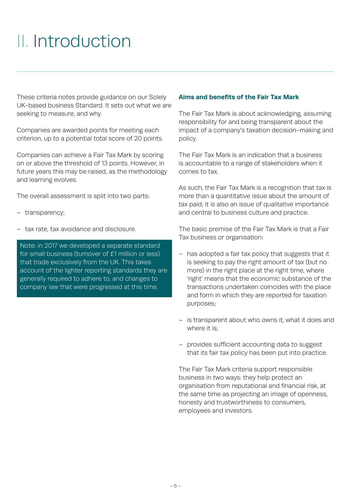## II. Introduction

These criteria notes provide guidance on our Solely UK-based business Standard. It sets out what we are seeking to measure, and why.

Companies are awarded points for meeting each criterion, up to a potential total score of 20 points.

Companies can achieve a Fair Tax Mark by scoring on or above the threshold of 13 points. However, in future years this may be raised, as the methodology and learning evolves.

The overall assessment is split into two parts:

- transparency;
- tax rate, tax avoidance and disclosure.

Note: in 2017 we developed a separate standard for small business (turnover of £1 million or less) that trade exclusively from the UK. This takes account of the lighter reporting standards they are generally required to adhere to, and changes to company law that were progressed at this time.

### **Aims and benefits of the Fair Tax Mark**

The Fair Tax Mark is about acknowledging, assuming responsibility for and being transparent about the impact of a company's taxation decision-making and policy.

The Fair Tax Mark is an indication that a business is accountable to a range of stakeholders when it comes to tax.

As such, the Fair Tax Mark is a recognition that tax is more than a quantitative issue about the amount of tax paid; it is also an issue of qualitative importance and central to business culture and practice.

The basic premise of the Fair Tax Mark is that a Fair Tax business or organisation:

- has adopted a fair tax policy that suggests that it is seeking to pay the right amount of tax (but no more) in the right place at the right time, where 'right' means that the economic substance of the transactions undertaken coincides with the place and form in which they are reported for taxation purposes;
- is transparent about who owns it, what it does and where it is:
- provides sufficient accounting data to suggest that its fair tax policy has been put into practice.

The Fair Tax Mark criteria support responsible business in two ways: they help protect an organisation from reputational and financial risk, at the same time as projecting an image of openness, honesty and trustworthiness to consumers, employees and investors.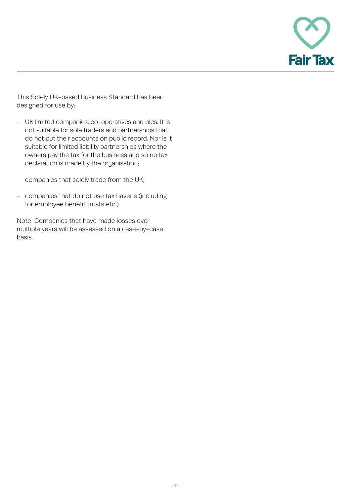

This Solely UK-based business Standard has been designed for use by:

- UK limited companies, co-operatives and plcs. It is not suitable for sole traders and partnerships that do not put their accounts on public record. Nor is it suitable for limited liability partnerships where the owners pay the tax for the business and so no tax declaration is made by the organisation;
- companies that solely trade from the UK;
- companies that do not use tax havens (including for employee benefit trusts etc.).

Note: Companies that have made losses over multiple years will be assessed on a case-by-case basis.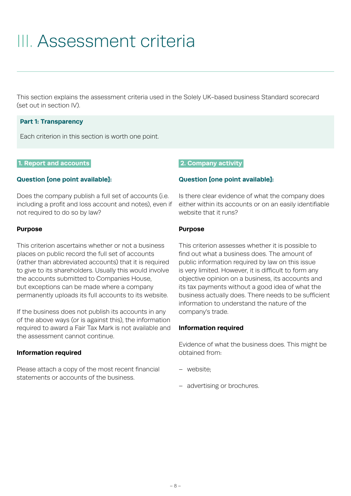## III. Assessment criteria

This section explains the assessment criteria used in the Solely UK-based business Standard scorecard (set out in section IV).

### **Part 1: Transparency**

Each criterion in this section is worth one point.

### **1. Report and accounts.**

### **Question [one point available]:**

Does the company publish a full set of accounts (i.e. including a profit and loss account and notes), even if not required to do so by law?

### **Purpose**

This criterion ascertains whether or not a business places on public record the full set of accounts (rather than abbreviated accounts) that it is required to give to its shareholders. Usually this would involve the accounts submitted to Companies House, but exceptions can be made where a company permanently uploads its full accounts to its website.

If the business does not publish its accounts in any of the above ways (or is against this), the information required to award a Fair Tax Mark is not available and the assessment cannot continue.

## **Information required**

Please attach a copy of the most recent financial statements or accounts of the business.

### **2. Company activity.**

### **Question [one point available]:**

Is there clear evidence of what the company does either within its accounts or on an easily identifiable website that it runs?

### **Purpose**

This criterion assesses whether it is possible to find out what a business does. The amount of public information required by law on this issue is very limited. However, it is difficult to form any objective opinion on a business, its accounts and its tax payments without a good idea of what the business actually does. There needs to be sufficient information to understand the nature of the company's trade.

#### **Information required**

Evidence of what the business does. This might be obtained from:

- website;
- advertising or brochures.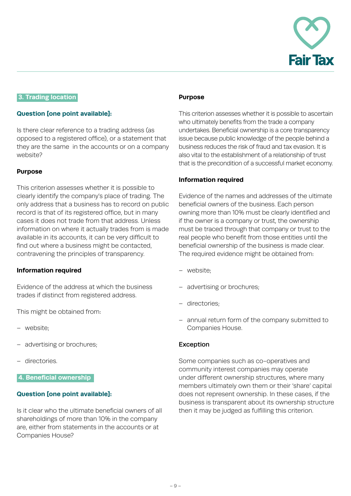

## **3. Trading location.**

### **Question [one point available]:**

Is there clear reference to a trading address (as opposed to a registered office), or a statement that they are the same in the accounts or on a company website?

### **Purpose**

This criterion assesses whether it is possible to clearly identify the company's place of trading. The only address that a business has to record on public record is that of its registered office, but in many cases it does not trade from that address. Unless information on where it actually trades from is made available in its accounts, it can be very difficult to find out where a business might be contacted, contravening the principles of transparency.

#### **Information required**

Evidence of the address at which the business trades if distinct from registered address.

This might be obtained from:

- website;
- advertising or brochures;
- directories.

#### **4. Beneficial ownership .**

## **Question [one point available]:**

Is it clear who the ultimate beneficial owners of all shareholdings of more than 10% in the company are, either from statements in the accounts or at Companies House?

#### **Purpose**

This criterion assesses whether it is possible to ascertain who ultimately benefits from the trade a company undertakes. Beneficial ownership is a core transparency issue because public knowledge of the people behind a business reduces the risk of fraud and tax evasion. It is also vital to the establishment of a relationship of trust that is the precondition of a successful market economy.

### **Information required**

Evidence of the names and addresses of the ultimate beneficial owners of the business. Each person owning more than 10% must be clearly identified and if the owner is a company or trust, the ownership must be traced through that company or trust to the real people who benefit from those entities until the beneficial ownership of the business is made clear. The required evidence might be obtained from:

- website;
- advertising or brochures;
- directories;
- annual return form of the company submitted to Companies House.

#### Exception

Some companies such as co-operatives and community interest companies may operate under different ownership structures, where many members ultimately own them or their 'share' capital does not represent ownership. In these cases, if the business is transparent about its ownership structure then it may be judged as fulfilling this criterion.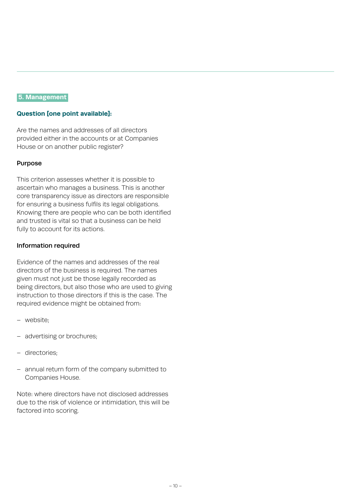#### **5. Management.**

## **Question [one point available]:**

Are the names and addresses of all directors provided either in the accounts or at Companies House or on another public register?

### Purpose

This criterion assesses whether it is possible to ascertain who manages a business. This is another core transparency issue as directors are responsible for ensuring a business fulfils its legal obligations. Knowing there are people who can be both identified and trusted is vital so that a business can be held fully to account for its actions.

### Information required

Evidence of the names and addresses of the real directors of the business is required. The names given must not just be those legally recorded as being directors, but also those who are used to giving instruction to those directors if this is the case. The required evidence might be obtained from:

- website;
- advertising or brochures;
- directories;
- annual return form of the company submitted to Companies House.

Note: where directors have not disclosed addresses due to the risk of violence or intimidation, this will be factored into scoring.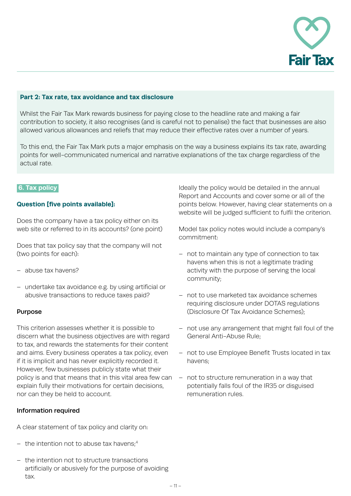

#### **Part 2: Tax rate, tax avoidance and tax disclosure**

Whilst the Fair Tax Mark rewards business for paying close to the headline rate and making a fair contribution to society, it also recognises (and is careful not to penalise) the fact that businesses are also allowed various allowances and reliefs that may reduce their effective rates over a number of years.

To this end, the Fair Tax Mark puts a major emphasis on the way a business explains its tax rate, awarding points for well-communicated numerical and narrative explanations of the tax charge regardless of the actual rate.

#### **6. Tax policy.**

### **Question [five points available]:**

Does the company have a tax policy either on its web site or referred to in its accounts? (one point)

Does that tax policy say that the company will not (two points for each):

- abuse tax havens?
- undertake tax avoidance e.g. by using artificial or abusive transactions to reduce taxes paid?

#### Purpose

This criterion assesses whether it is possible to discern what the business objectives are with regard to tax, and rewards the statements for their content and aims. Every business operates a tax policy, even if it is implicit and has never explicitly recorded it. However, few businesses publicly state what their policy is and that means that in this vital area few can explain fully their motivations for certain decisions, nor can they be held to account.

#### Information required

A clear statement of tax policy and clarity on:

- $-$  the intention not to abuse tax havens;<sup>4</sup>
- the intention not to structure transactions artificially or abusively for the purpose of avoiding tax.

Ideally the policy would be detailed in the annual Report and Accounts and cover some or all of the points below. However, having clear statements on a website will be judged sufficient to fulfil the criterion.

Model tax policy notes would include a company's commitment:

- not to maintain any type of connection to tax havens when this is not a legitimate trading activity with the purpose of serving the local community;
- not to use marketed tax avoidance schemes requiring disclosure under DOTAS regulations (Disclosure Of Tax Avoidance Schemes);
- not use any arrangement that might fall foul of the General Anti-Abuse Rule;
- not to use Employee Benefit Trusts located in tax havens;
- not to structure remuneration in a way that potentially falls foul of the IR35 or disguised remuneration rules.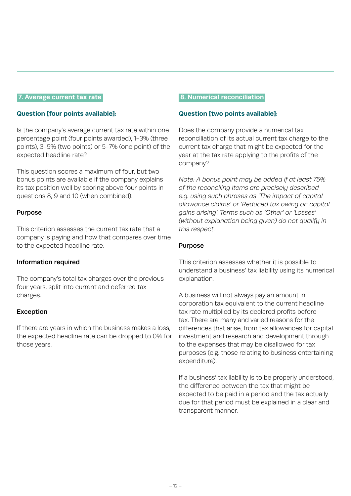#### **7. Average current tax rate.**

### **Question [four points available]:**

Is the company's average current tax rate within one percentage point (four points awarded), 1-3% (three points), 3-5% (two points) or 5-7% (one point) of the expected headline rate?

This question scores a maximum of four, but two bonus points are available if the company explains its tax position well by scoring above four points in questions 8, 9 and 10 (when combined).

### Purpose

This criterion assesses the current tax rate that a company is paying and how that compares over time to the expected headline rate.

#### Information required

The company's total tax charges over the previous four years, split into current and deferred tax charges.

## Exception

If there are years in which the business makes a loss, the expected headline rate can be dropped to 0% for those years.

#### **.8. Numerical reconciliation.**

#### **Question [two points available]:**

Does the company provide a numerical tax reconciliation of its actual current tax charge to the current tax charge that might be expected for the year at the tax rate applying to the profits of the company?

*Note: A bonus point may be added if at least 75% of the reconciling items are precisely described e.g. using such phrases as 'The impact of capital allowance claims' or 'Reduced tax owing on capital gains arising'. Terms such as 'Other' or 'Losses' (without explanation being given) do not qualify in this respect.*

## Purpose

This criterion assesses whether it is possible to understand a business' tax liability using its numerical explanation.

A business will not always pay an amount in corporation tax equivalent to the current headline tax rate multiplied by its declared profits before tax. There are many and varied reasons for the differences that arise, from tax allowances for capital investment and research and development through to the expenses that may be disallowed for tax purposes (e.g. those relating to business entertaining expenditure).

If a business' tax liability is to be properly understood, the difference between the tax that might be expected to be paid in a period and the tax actually due for that period must be explained in a clear and transparent manner.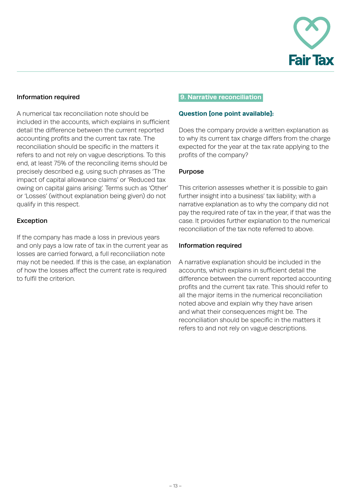

## Information required

A numerical tax reconciliation note should be included in the accounts, which explains in sufficient detail the difference between the current reported accounting profits and the current tax rate. The reconciliation should be specific in the matters it refers to and not rely on vague descriptions. To this end, at least 75% of the reconciling items should be precisely described e.g. using such phrases as 'The impact of capital allowance claims' or 'Reduced tax owing on capital gains arising'. Terms such as 'Other' or 'Losses' (without explanation being given) do not qualify in this respect.

## Exception

If the company has made a loss in previous years and only pays a low rate of tax in the current year as losses are carried forward, a full reconciliation note may not be needed. If this is the case, an explanation of how the losses affect the current rate is required to fulfil the criterion.

#### **.9. Narrative reconciliation.**

### **Question [one point available]:**

Does the company provide a written explanation as to why its current tax charge differs from the charge expected for the year at the tax rate applying to the profits of the company?

## Purpose

This criterion assesses whether it is possible to gain further insight into a business' tax liability; with a narrative explanation as to why the company did not pay the required rate of tax in the year, if that was the case. It provides further explanation to the numerical reconciliation of the tax note referred to above.

### Information required

A narrative explanation should be included in the accounts, which explains in sufficient detail the difference between the current reported accounting profits and the current tax rate. This should refer to all the major items in the numerical reconciliation noted above and explain why they have arisen and what their consequences might be. The reconciliation should be specific in the matters it refers to and not rely on vague descriptions.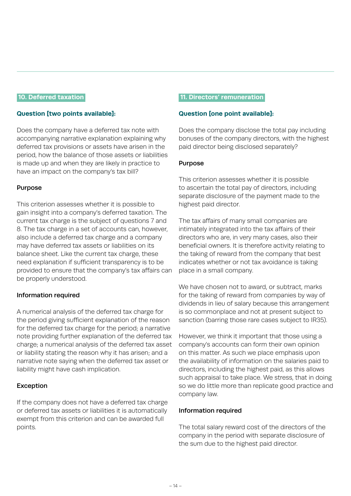## **10. Deferred taxation.**

#### **Question [two points available]:**

Does the company have a deferred tax note with accompanying narrative explanation explaining why deferred tax provisions or assets have arisen in the period, how the balance of those assets or liabilities is made up and when they are likely in practice to have an impact on the company's tax bill?

#### Purpose

This criterion assesses whether it is possible to gain insight into a company's deferred taxation. The current tax charge is the subject of questions 7 and 8. The tax charge in a set of accounts can, however, also include a deferred tax charge and a company may have deferred tax assets or liabilities on its balance sheet. Like the current tax charge, these need explanation if sufficient transparency is to be provided to ensure that the company's tax affairs can be properly understood.

#### Information required

A numerical analysis of the deferred tax charge for the period giving sufficient explanation of the reason for the deferred tax charge for the period; a narrative note providing further explanation of the deferred tax charge; a numerical analysis of the deferred tax asset or liability stating the reason why it has arisen; and a narrative note saying when the deferred tax asset or liability might have cash implication.

#### Exception

If the company does not have a deferred tax charge or deferred tax assets or liabilities it is automatically exempt from this criterion and can be awarded full points.

#### **11. Directors' remuneration.**

#### **Question [one point available]:**

Does the company disclose the total pay including bonuses of the company directors, with the highest paid director being disclosed separately?

#### Purpose

This criterion assesses whether it is possible to ascertain the total pay of directors, including separate disclosure of the payment made to the highest paid director.

The tax affairs of many small companies are intimately integrated into the tax affairs of their directors who are, in very many cases, also their beneficial owners. It is therefore activity relating to the taking of reward from the company that best indicates whether or not tax avoidance is taking place in a small company.

We have chosen not to award, or subtract, marks for the taking of reward from companies by way of dividends in lieu of salary because this arrangement is so commonplace and not at present subject to sanction (barring those rare cases subject to IR35).

However, we think it important that those using a company's accounts can form their own opinion on this matter. As such we place emphasis upon the availability of information on the salaries paid to directors, including the highest paid, as this allows such appraisal to take place. We stress, that in doing so we do little more than replicate good practice and company law.

#### Information required

The total salary reward cost of the directors of the company in the period with separate disclosure of the sum due to the highest paid director.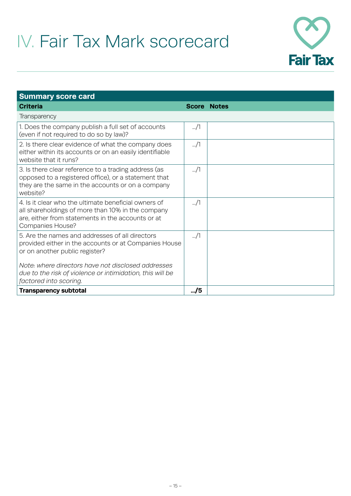# IV. Fair Tax Mark scorecard



| <b>Summary score card</b>                                                                                                                                                                 |               |                    |  |  |  |
|-------------------------------------------------------------------------------------------------------------------------------------------------------------------------------------------|---------------|--------------------|--|--|--|
| <b>Criteria</b>                                                                                                                                                                           |               | <b>Score Notes</b> |  |  |  |
| Transparency                                                                                                                                                                              |               |                    |  |  |  |
| 1. Does the company publish a full set of accounts<br>(even if not required to do so by law)?                                                                                             | $\frac{1}{2}$ |                    |  |  |  |
| 2. Is there clear evidence of what the company does<br>either within its accounts or on an easily identifiable<br>website that it runs?                                                   | $\frac{1}{2}$ |                    |  |  |  |
| 3. Is there clear reference to a trading address (as<br>opposed to a registered office), or a statement that<br>they are the same in the accounts or on a company<br>website?             | $\frac{1}{2}$ |                    |  |  |  |
| 4. Is it clear who the ultimate beneficial owners of<br>all shareholdings of more than 10% in the company<br>are, either from statements in the accounts or at<br><b>Companies House?</b> | $\ldots/1$    |                    |  |  |  |
| 5. Are the names and addresses of all directors<br>provided either in the accounts or at Companies House<br>or on another public register?                                                | $\frac{1}{2}$ |                    |  |  |  |
| Note: where directors have not disclosed addresses<br>due to the risk of violence or intimidation, this will be<br>factored into scoring.                                                 |               |                    |  |  |  |
| <b>Transparency subtotal</b>                                                                                                                                                              |               |                    |  |  |  |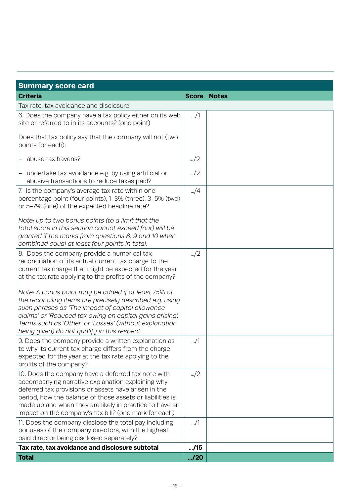| <b>Summary score card</b>                                                                                                                                                                                                                                                                                                                        |               |                    |  |  |  |
|--------------------------------------------------------------------------------------------------------------------------------------------------------------------------------------------------------------------------------------------------------------------------------------------------------------------------------------------------|---------------|--------------------|--|--|--|
| <b>Criteria</b>                                                                                                                                                                                                                                                                                                                                  |               | <b>Score Notes</b> |  |  |  |
| Tax rate, tax avoidance and disclosure                                                                                                                                                                                                                                                                                                           |               |                    |  |  |  |
| 6. Does the company have a tax policy either on its web<br>site or referred to in its accounts? (one point)                                                                                                                                                                                                                                      | /1            |                    |  |  |  |
| Does that tax policy say that the company will not (two<br>points for each):                                                                                                                                                                                                                                                                     |               |                    |  |  |  |
| - abuse tax havens?                                                                                                                                                                                                                                                                                                                              | $\frac{1}{2}$ |                    |  |  |  |
| - undertake tax avoidance e.g. by using artificial or<br>abusive transactions to reduce taxes paid?                                                                                                                                                                                                                                              | $\frac{1}{2}$ |                    |  |  |  |
| 7. Is the company's average tax rate within one<br>percentage point (four points), 1-3% (three), 3-5% (two)<br>or 5-7% (one) of the expected headline rate?                                                                                                                                                                                      | $\mu$ /4      |                    |  |  |  |
| Note: up to two bonus points (to a limit that the<br>total score in this section cannot exceed four) will be<br>granted if the marks from questions 8, 9 and 10 when<br>combined equal at least four points in total.                                                                                                                            |               |                    |  |  |  |
| 8. Does the company provide a numerical tax<br>reconciliation of its actual current tax charge to the<br>current tax charge that might be expected for the year<br>at the tax rate applying to the profits of the company?                                                                                                                       | $\frac{1}{2}$ |                    |  |  |  |
| Note: A bonus point may be added if at least 75% of<br>the reconciling items are precisely described e.g. using<br>such phrases as 'The impact of capital allowance<br>claims' or 'Reduced tax owing on capital gains arising'.<br>Terms such as 'Other' or 'Losses' (without explanation<br>being given) do not qualify in this respect.        |               |                    |  |  |  |
| 9. Does the company provide a written explanation as<br>to why its current tax charge differs from the charge<br>expected for the year at the tax rate applying to the<br>profits of the company?                                                                                                                                                | J1            |                    |  |  |  |
| 10. Does the company have a deferred tax note with<br>accompanying narrative explanation explaining why<br>deferred tax provisions or assets have arisen in the<br>period, how the balance of those assets or liabilities is<br>made up and when they are likely in practice to have an<br>impact on the company's tax bill? (one mark for each) | $\frac{1}{2}$ |                    |  |  |  |
| 11. Does the company disclose the total pay including<br>bonuses of the company directors, with the highest<br>paid director being disclosed separately?                                                                                                                                                                                         | $\ldots/1$    |                    |  |  |  |
| Tax rate, tax avoidance and disclosure subtotal                                                                                                                                                                                                                                                                                                  |               |                    |  |  |  |
| <b>Total</b>                                                                                                                                                                                                                                                                                                                                     | M/20          |                    |  |  |  |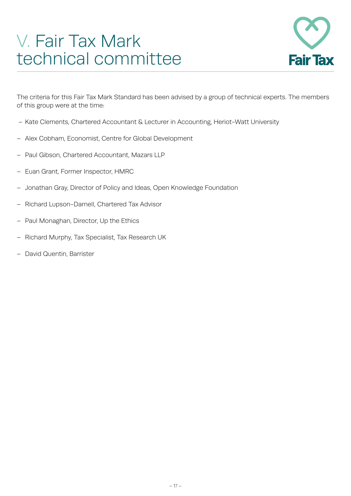## V. Fair Tax Mark technical committee



The criteria for this Fair Tax Mark Standard has been advised by a group of technical experts. The members of this group were at the time:

- Kate Clements, Chartered Accountant & Lecturer in Accounting, Heriot-Watt University
- Alex Cobham, Economist, Centre for Global Development
- Paul Gibson, Chartered Accountant, Mazars LLP
- Euan Grant, Former Inspector, HMRC
- Jonathan Gray, Director of Policy and Ideas, Open Knowledge Foundation
- Richard Lupson-Darnell, Chartered Tax Advisor
- Paul Monaghan, Director, Up the Ethics
- Richard Murphy, Tax Specialist, Tax Research UK
- David Quentin, Barrister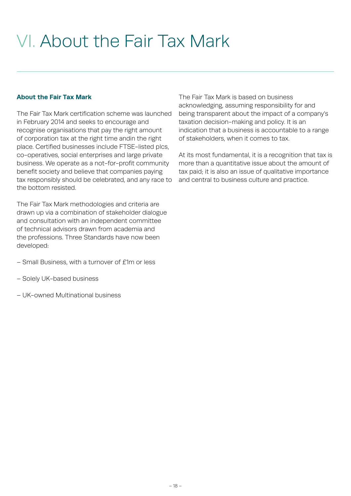## VI. About the Fair Tax Mark

## **About the Fair Tax Mark**

The Fair Tax Mark certification scheme was launched in February 2014 and seeks to encourage and recognise organisations that pay the right amount of corporation tax at the right time andin the right place. Certified businesses include FTSE-listed plcs, co-operatives, social enterprises and large private business. We operate as a not-for-profit community benefit society and believe that companies paying tax responsibly should be celebrated, and any race to the bottom resisted.

The Fair Tax Mark methodologies and criteria are drawn up via a combination of stakeholder dialogue and consultation with an independent committee of technical advisors drawn from academia and the professions. Three Standards have now been developed:

- Small Business, with a turnover of £1m or less
- Solely UK-based business
- UK-owned Multinational business

The Fair Tax Mark is based on business acknowledging, assuming responsibility for and being transparent about the impact of a company's taxation decision-making and policy. It is an indication that a business is accountable to a range of stakeholders, when it comes to tax.

At its most fundamental, it is a recognition that tax is more than a quantitative issue about the amount of tax paid; it is also an issue of qualitative importance and central to business culture and practice.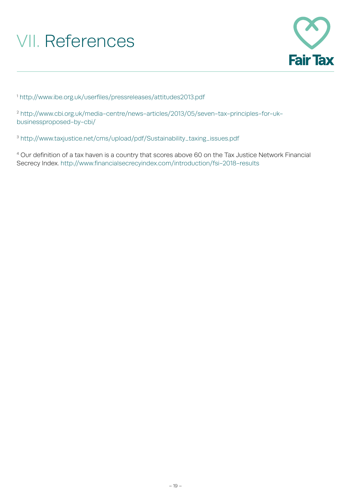# VII. References



<sup>1</sup> <http://www.ibe.org.uk/userfiles/pressreleases/attitudes2013.pdf>

<sup>2</sup> [http://www.cbi.org.uk/media-centre/news-articles/2013/05/seven-tax-principles-for-uk](http://www.cbi.org.uk/media-centre/news-articles/2013/05/seven-tax-principles-for-uk-businessproposed-by-cbi/)[businessproposed-by-cbi/](http://www.cbi.org.uk/media-centre/news-articles/2013/05/seven-tax-principles-for-uk-businessproposed-by-cbi/)

<sup>3</sup> [http://www.taxjustice.net/cms/upload/pdf/Sustainability\\_taxing\\_issues.pdf](http://www.taxjustice.net/cms/upload/pdf/Sustainability_taxing_issues.pdf)

4 Our definition of a tax haven is a country that scores above 60 on the Tax Justice Network Financial Secrecy Index. http://www.financialsecrecyindex.com/introduction/fsi-2018-results